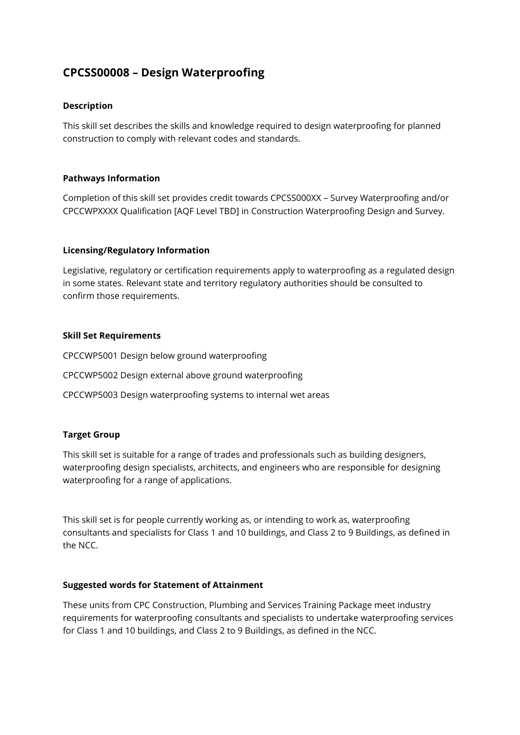# **CPCSS00008 – Design Waterproofing**

#### **Description**

This skill set describes the skills and knowledge required to design waterproofing for planned construction to comply with relevant codes and standards.

#### **Pathways Information**

Completion of this skill set provides credit towards CPCSS000XX – Survey Waterproofing and/or CPCCWPXXXX Qualification [AQF Level TBD] in Construction Waterproofing Design and Survey.

#### **Licensing/Regulatory Information**

Legislative, regulatory or certification requirements apply to waterproofing as a regulated design in some states. Relevant state and territory regulatory authorities should be consulted to confirm those requirements.

#### **Skill Set Requirements**

CPCCWP5001 Design below ground waterproofing CPCCWP5002 Design external above ground waterproofing

# CPCCWP5003 Design waterproofing systems to internal wet areas

### **Target Group**

This skill set is suitable for a range of trades and professionals such as building designers, waterproofing design specialists, architects, and engineers who are responsible for designing waterproofing for a range of applications.

This skill set is for people currently working as, or intending to work as, waterproofing consultants and specialists for Class 1 and 10 buildings, and Class 2 to 9 Buildings, as defined in the NCC.

#### **Suggested words for Statement of Attainment**

These units from CPC Construction, Plumbing and Services Training Package meet industry requirements for waterproofing consultants and specialists to undertake waterproofing services for Class 1 and 10 buildings, and Class 2 to 9 Buildings, as defined in the NCC.